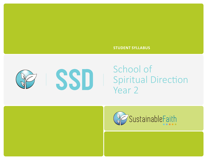### **STUDENT SYLLABUS**



## School of Spiritual Direction Year 2

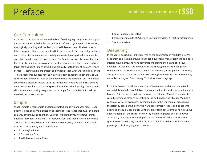# Preface

## Our Curriculum

In our Year 2 curriculum we wanted to keep five things squarely in focus: simplicity, greater depth with the themes and topics of Year 1, your spiritual formation, theological grounding and, not least, your skill development. The last three in this set of goals often overlap and feed into each other. In fact, exercising patience and holding silence are more accurately seen as fruits of spiritual formation, i.e., growth in humility and the experience of God's patience. We also know that our theological grounding brims over the borders of our brains. For instance, a trinitarian starting point (image of God) and biblically rooted view of humans (image of man) — something more ancient and orthodox than what we're typically given! — have real consequences for the way we actually experience both the God we seek to know and love as well as the directee who sits in front of us. Theological grounding is meant to impact us at the formational level and aid in skill development. So although we talk about spiritual formation, theological grounding and skill development as tidy categories, that's simply for convenience. In real life, the distinctions are messier.

## Simple

What's simple is memorable and transferable. Simplicity enhances focus. Good directors pose one simple question to their directees rather than two (or more!) as a way of winnowing attention. Likewise, we'd rather you hold fewer things but hold those few things well. In short, we want this Year 2 curriculum to have a kind of hospitality. We want it to be easy to read, easy to understand, easy to execute. Consequently, each module has:

- A theological focus
- A formational focus
- A skill developmental focus
- 1 book (module 3 excepted)
- 1 chapter per module of Pickering's Spiritual Direction: A Practical Introduction
- Group supervision

## Deepening

In the Year 1 curriculum, stories served as the centerpiece of Modules 1-2. We used them as a training ground to ask good questions, make observations, notice interior movements, and have conversations around the nature of spiritual direction. In Module 3, we encountered the Enneagram as a tool for gaining self-awareness. In Module 4, we covered discernment, using Ignatian spirituality and group spiritual direction as a way of delving into the topic. And in Module 5, we looked at stages of faith, using "Critical Journey" language.

Except for transposing the modules on self-awareness and discernment (which are certainly related), Year 2 follows the same outline. Stories figure prominently in Modules 1-2, but we push deeper into ways of listening. Module 3 goes further with discernment, strongly accenting desire and Ignatian spirituality. Module 4 continues with self-awareness by coming back to the Enneagram, broadening the latter by considering Instinctual Variants, Harmony Triads, and its use with directees. Module 5 again picks up the topic of faith development, filling out our understanding of "the critical journey" by looking in greater detail at how we accompany directees through stages 3-5 and "the Wall" (where most of our spiritual direction occurs). So all in all, Year 2 feels like circling back to familiar places, yet this time going much deeper.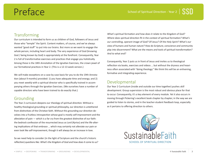# Preface

## **Transforming**

Our curriculum is intended to form us as children of God, followers of Jesus and those who "temple" the Spirit. Content matters, of course, and we've always wanted "good stuff" to put into our brains. But more so we want to engage the whole person, including heart and body. The very experience of God (knowing God / being known by God) is appropriately at the forefront. Consequently, Year 2 is full of transformative exercises and practices that engage you holistically. Among these is the 18th Annotation of the Ignatian Exercises, the crown jewel of our formational practices in Year 2. (This is a 12-13 week version.)

We will make exceptions on a case by case basis for you to do the 19th Annotation (about 9 months) provided: 1) you have adequate time and energy; and 2) you meet weekly with a spiritual director who is specifically trained in accompanying others through the Ignatian Exercises. (We ourselves have a number of capable directors who have been trained to do exactly that.)

## Grounding

The Year 2 curriculum deepens our theology of spiritual direction. Without a healthy theological grounding or spiritual philosophy, our direction is untethered from distinctives of the Christian faith. Without this grounding our direction devolves into a fruitless introspection whose goal is mostly self-improvement and the alleviation of pain  $-$  which is a far cry from the greatest distinctive of our faith: the bedrock confession of the resurrected Jesus as Lord (Kyrios) and the life-altering implications of that embrace … which may certainly not alleviate our pain or even look like self-improvement, though it will always be an increase in love.

So we need help to consider (in the light of Scripture and the church's historic reflection) questions like: What's the Kingdom of God and how does it come to us?

What's spiritual formation and how does it relate to the Kingdom of God? Where does spiritual direction fit in the context of spiritual formation? What's our controlling, operant image of God? Of Jesus? Of the Holy Spirit? What's our view of humans and human nature? How do Scripture, conscience and community play into discernment? What are the means and tools of spiritual transformation? And to what end?

Consequently, Year 2 puts us in front of Jesus and invites us to theological reflection via books, exercises and videos … but without the dryness and heaviness often associated with "doing theology." We think this will be an enlivening, formative and integrating experience.

## Developmental

Our Year 2 Curriculum (inside and outside our time together) pushes skill development. Group supervision is the most robust and obvious place for that to occur. Consequently, it's a key element of every module. Yet it also occurs in moving through Pickering's excellent book chapter by chapter, in the way we are guided to listen to stories, and in the teacher-student feedback loop, especially as it pertains to offering direction to others.

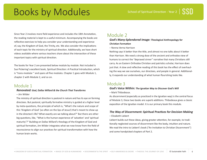Since Year 2 involves more field experience and includes the 18th Annotation, the reading material is kept to a useful minimum. Accompanying the books are reflective exercises to help you consider your understanding and experience of, say, the Kingdom of God, the Trinity, etc. We also consider the implications of each topic for the ministry of spiritual direction. Additionally, we have short videos available where various teachers share about the intersection of these important topics with spiritual direction.

The books for Year 2 are presented below module by module. Not included is Sue Pickering's excellent book, Spiritual Direction: A Practical Introduction, which is "trans-modular " and spans all five modules. Chapter 1 goes with Module 1, chapter 2 with Module 2, and so on.

## Module 1

**Renovated: God, Dallas Willard & the Church That Transforms**

– Jim Wilder

The ministry of spiritual direction is pastoral in nature and has its eye on forming directees. But pastoral, spiritually formative ministry is guided at a higher level by meta-questions, the principle of which is, "What's the nature and scope of this 'Kingdom of God' (so often on the lips of Jesus!) that's meant to show up in the directee's life? What exactly are we talking about?" But there are other big questions, like, "What is the human experience of 'salvation' and 'spiritual maturity'?" Building on Dallas Willard's theology of the Kingdom of God and spiritual formation, Jim Wilder integrates what we now know from the field of neuroscience to align our practices for spiritual transformation with how the human brain works.

## Module 2

**God's Many-Splendored Image: Theological Anthropology for Christian Formation**

– Nonna Verna Harrison

Nothing says it better than the title, and almost no one talks about it better than Harrison. We need a strong dose of the ancient and orthodox view of humans to correct the "depraved sinner" narrative that many Christians still carry. As an Eastern Orthodox Christian and patristics scholar, Harrison does just that. A slow and reflective reading of this book has the effect of overhauling the way we see ourselves, our directees, and people in general. Additionally, it expands our understanding of what human flourishing looks like.

## Module 3

#### **God's Voice Within: The Ignatian Way to Discover God's Will**

– Mark Thibodeaux.

As discernment (especially as practiced in the Ignatian way) is the central focus of Module 3, these two books are superb additions. Thibodeaux gives a classic exposition of the Ignatian model. It is our primary book this module.

### **The Way of Discernment: Spiritual Practices for Decision Making**

– Elizabeth Liebert

Liebert builds out these ideas, giving greater attention, for example, to traditionally neglected sources of discernment like the body, intuition and nature. We read the intro to Liebert's book ("An Invitation to Christian Discernment") and some handpicked chapters of Part 2.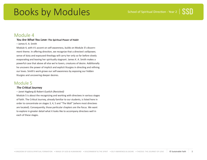## Books by Modules

## Module 4

### **You Are What You Love: The Spiritual Power of Habit**

#### – James K. A. Smith

Module 4, with it's accent on self-awareness, builds on Module 3's discernment theme. In offering direction, we recognize that a directee's willpower, sense of duty and espoused theology will carry her only so far before slowly evaporating and leaving her spiritually stagnant. James K. A. Smith makes a powerful case that above all else we're lovers, creatures of desire. Additionally he uncovers the power of implicit and explicit liturgies in directing and refining our loves. Smith's work grows our self-awareness by exposing our hidden liturgies and uncovering deeper desires.

## Module 5

### **The Critical Journey**

– Janet Hagberg & Robert Guelich (Revisited)

Module 5 is about the recognizing and working with directees in various stages of faith. The Critical Journey, already familiar to our students, is listed here in order to concentrate on stages 3, 4, 5 and "The Wall" (where most directees are located). Consequently, those particular chapters are the focus. We want to explore in greater detail what it looks like to accompany directees well in each of these stages.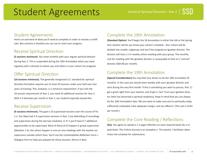# Student Agreements

### Student Agreements

Here's an overview of what you'll need to complete in order to receive a certificate. Box contains a checklist you can use to chart your progress.

## Receive Spiritual Direction

**(5 sessions minimum).** You meet monthly with your regular spiritual director during Year 2. This is suspended during the 18th Annotation when you meet regularly with a director to whom you and others in your cohort are assigned.

## Offer Spiritual Direction

**(10 sessions minimum).** The generally recognized U.S. standard for spiritual direction formation requires you to have 20 sessions under your belt over two years of training. This, however, is a minimum requirement. If you met the 10-session requirement of Year 1, you need 10 additional sessions for Year 2. With 2-3 directees per month in Year 2, our students typically exceed this.

## Receive Supervision

**(6 sessions minimum).** The goal is 10 supervised sessions over the course of Yrs 1-2. You likely had 3-4 supervision sessions in Year 1 (via debriefing of recordings and supervision during the last two modules). In Yr 2 you'll have 6-7 additional opportunities to be supervised. Most of these (4-5) happen in group supervision (Modules 1-5); the others happen in one-on-one meetings with the teacher (or supervisor) outside cohort time. You'll use the Contemplative Reflection Form + Dialogue Form to help you prepare for these sessions. (forms in Box)

## Complete the 18th Annotation

**(Standard Option)** You'll begin the 18 Annotation in either the Fall or the Spring. Your teacher will let you know your cohort's schedule. Your cohort will be divided into smaller subgroups and you'll be assigned an Ignatian director. The director will host a 1-hr weekly online meeting with your group. The monthly cost for meeting with the Ignatian director is comparable to that of a "normal" director (\$60-80 per month).

## Complete the 19th Annotation

**(Special Consideration)** You may feel very drawn to do the 19th annotation (9 months). In this case you would meet weekly, with your Ignatian director and start during the very first month. If this is something you want to pursue, first: 1) get a green light from your teacher, and 2) get a "yes" from your Ignatian director (who has discerned a spiritual readiness). Keep in mind that you can always do the 19th Annotation later. We just want to make sure you're spiritually ready, sufficiently motivated, have adequate margin, and can afford it. (The cost is \$143 per month.)

## Complete the Core Reading / Reflections

**(Six).** You agree to upload a 1-2 page reflection on each required book (As a repeat book, The Critical Journey is an exception.) The teacher / facilitator determines the schedule for submissions.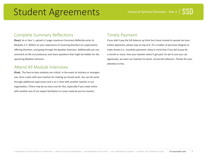# Student Agreements

## Complete Summary Reflections

**(Four).** As in Year 1, upload a 2-page maximum Summary Reflection prior to Modules 2-5. Reflect on your experience of receiving direction (or supervision), offering direction, and going through the Ignatian Exercises. Additionally you can comment on life circumstances and share questions that might be fodder for the upcoming Module intensive.

## Attend All Module Intensives

**(Five).** The face-to-face modules are critical. In the event of sickness or emergencies, form a plan with your teacher for making up missed work. You can do some through additional supervision and 1-on-1 time with another teacher in our organization. (There may be an extra cost for this, especially if you meet online with another one of our expert facilitators to cover material you've missed.)

## Timely Payment

If you didn't pay the full balance up front but chose instead to spread out your tuition payments, please stay on top of it. It's a matter of personal integrity to make timely (i.e., monthly) payments. Keep in mind that if you fail to pay for a month or more, then your teacher doesn't get paid. As we're sure you can appreciate, we want our teachers to teach, not be bill collectors. Thanks for your attention to this.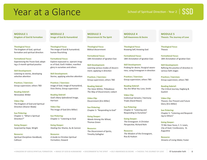## Year at a Glance

**MODULE 1 Kingdom of God & Formation**

**Theological Focus** The kingdom of God, spiritual formation and spiritual direction

**Formational Focus:** Experiencing the Triune God; adopting a 3-month spiritual practice

**Skill Development:** Listening to stories, developing selective attention

**Practices / Exercises:** Group supervision; others TBD

**Reading Debrief:** Renovated, Wilder

**Video Clip:**  The Kingdom of God and Spiritual Direction (Sharon Wada)

**Sue Pickering:** Chapter 1: "What is Spiritual Direction?"

**Going Deeper:**  Surprised by Hope, Wright

**Resource:**  Spiritual Disciplines Handbook, Calhoun

**MODULE 2 Image of God & Humankind**

**Theological Focus** The image of God & humankind; human flourishing

**Formational Focus:** Explore espoused vs. operant images of God; God's hidden, manifest glory in ourselves and others

**Skill Development:** Stories, applying selective attention

**Practices / Exercises:**  Image of God, Image of Humankind, Visio Divina, Group supervision

**Reading Debrief:** God's Many Splendored Image, Harrison

**Video Clip:**  The Image of God (Kris Miller)

**Sue Pickering:** Chapter 2: "Listening to God

**Going Deeper:**  Healing Our Shame, Au & Cannon

**Resource:**  A Guide to Christian Spiritual Formation, Howard

**MODULE 3 Discernment & The Spirit**

**Theological Focus** Biblical discernment

**Formational Focus:** 18th Annotation of Ignatian Exer.

**Skill Development:** Learning various modes of discernment; applying in direction

**Practices / Exercises:**  Group supervision; others TBD

**Reading Debrief:** The Voice Within, Thibodeaux The Way of Discernment, Liebert

**Video Clip:**  Discernment (Kris Miller)

**Sue Pickering:** Chapter 3: "Responding to God"

**Going Deeper:**  Weeds Among the Wheat, Thomas Green

**Resource:**  The Discernment of Spirits, Timothy Gallagher

**MODULE 4 Self-Awareness & Desire**

**Theological Focus** Knowing Self, Knowing God

**Formational Focus:** 18th Annotation of Ignatian Exer.

**Skill Development:** Probing for desire, liturgical awareness, using Enneagram in direction

**Practices / Exercises:**  Group supervision; others TBD

**Reading Debrief:** You Are What You Love, Smith

**Video Clip:**  Instinctual Variants / Harmony Triads (David Nixon)

**Sue Pickering:** Chapter 4: "Listening and Responding to Ourselves"

**Going Deeper:**  The Enneagram: A Christian Perspective, Richard Rohr

**Resource:**  The Wisdom of the Enneagram, Riso & Hudson

**MODULE 5 Theosis: The Journey of Love**

**Theological Focus** Theosis

**Formational Focus:** 18th Annotation of Ignatian Exer.

**Skill Development:** Refining the practice of direction in various faith stages

**Practices / Exercises:**  Group supervision; others TBD

**Reading Debrief:** The Critical Journey, Hagberg & Guelich

**Video Clip:**  Theosis: Our Present and Future Glory (Kris Miller)

**Sue Pickering:** Chapter 5: "Listening and Responding to Others"

**Going Deeper:**  Til We Have Faces, C. S. Lewis, City of God / Confessions, St. Augustine

**Resource:**  Streams of Living Water, Foster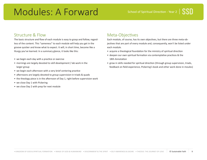# Modules: A Forward

### Structure & Flow

The basic structure and flow of each module is easy to grasp and follow, regardless of the content. This "sameness" to each module will help you get in the groove quicker and know what to expect. It will, in short time, become like a liturgy you've learned. In a summary glance, it looks like this:

- we begin each day with a practice or exercise
- mornings are largely devoted to skill development / lab work in the larger group
- we begin each afternoon with a very brief centering practice
- afternoons are largely devoted to group supervision in triads & quads
- the theology piece is in the afternoon of Day 1, right before supervision work
- we close Day 1 with Pickering
- we close Day 2 with prep for next module

## Meta-Objectives

Each module, of course, has its own objectives, but there are three meta-objectives that are part of every module and, consequently, won't be listed under each module.

- acquire a theological foundation for the ministry of spiritual direction
- deepen our own spiritual formation via contemplative practices & the 18th Annotation
- grow in skills needed for spiritual direction (through group supervision, triads, feedback on field experience, Pickering's book and other work done in moules)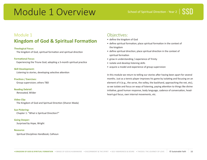# Module 1 Overview

## Module 1

## **Kingdom of God & Spiritual Formation**

#### **Theological Focus:**

The kingdom of God, spiritual formation and spiritual direction

#### **Formational Focus:**

Experiencing the Triune God; adopting a 3-month spiritual practice

#### **Skill Development:**

Listening to stories, developing selective attention

#### **Practices / Exercises:**

Group supervision; others TBD

#### **Reading Debrief:**

Renovated, Wilder

#### **Video Clip:**

The Kingdom of God and Spiritual Direction (Sharon Wada)

**Sue Pickering:** Chapter 1: "What is Spiritual Direction?"

**Going Deeper:**  Surprised by Hope, Wright

#### **Resource:**

Spiritual Disciplines Handbook, Calhoun

### Objectives:

- define the kingdom of God
- define spiritual formation; place spiritual formation in the context of the kingdom
- define spiritual direction; place spiritual direction in the context of spiritual formation
- grow in understanding / experience of Trinity
- isolate and develop listening skills
- acquire a model and experience of group supervision

In this module we return to telling our stories after having been apart for several months. Just as a tennis player improves his game by isolating and focusing on an element of it (e.g., the serve, the volley, the backhand, approaching the net, etc), so we isolate and focus on ways of listening, paying attention to things like divine initiative, good human response, body language, cadence of conversation, headheart-gut focus, own internal movements, etc.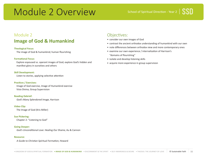# Module 2 Overview

## Module 2 **Image of God & Humankind**

#### **Theological Focus:**

The image of God & humankind; human flourishing

#### **Formational Focus:**

Explore espoused vs. operant images of God; explore God's hidden and manifest glory in ourselves and others

#### **Skill Development:**

Listen to stories, applying selective attention

#### **Practices / Exercises:**

Image of God exercise, Image of Humankind exercise
Visio Divina, Group Supervision

#### **Reading Debrief:**

God's Many Splendored Image, Harrison

#### **Video Clip:**

The Image of God (Kris Miller)

#### **Sue Pickering:**

Chapter 2: "Listening to God"

#### **Going Deeper:**

God's Unconditional Love: Healing Our Shame, Au & Cannon

#### **Resource:**

A Guide to Christian Spiritual Formation, Howard

## Objectives:

- consider our own images of God
- contrast the ancient orthodox understanding of humankind with our own
- note differences between orthodox view and more contemporary ones
- examine our own experience / internalization of Harrison's "domains of flourishing"
- isolate and develop listening skills
- acquire more experience in group supervision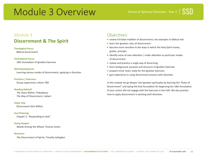## Module 3 Overview

## Module 3 **Discernment & The Spirit**

### **Theological Focus:**

Biblical discernment

#### **Formational Focus:**

18th Annotation of Ignatian Exercises

#### **Skill Development:**

Learning various modes of discernment; applying in direction

#### **Practices / Exercises:**

Group supervision; others TBD

#### **Reading Debrief:**

The Voice Within, Thibodeaux The Way of Discernment, Liebert

#### **Video Clip:**

Discernment (Kris Miller)

**Sue Pickering:** Chapter 3: "Responding to God"

#### **Going Deeper:**

Weeds Among the Wheat, Thomas Green

#### **Resource:**

The Discernment of Spirits, Timothy Gallagher

### Objectives:

- review Christian tradition of discernment; see examples in biblical text
- learn the Ignatian rules of discernment
- become more sensitive to the ways in which the Holy Spirit moves, guides, prompts
- identify areas of over-attention / under-attention to particular modes of discernment
- isolate and practice a single way of discerning
- learn background, purpose and structure of Ignatian Exercises
- prepare mind, heart, body for the Ignatian Exercises
- gain experience in using discernment process with directees

In this module we go deeper into Ignatian spirituality by learning the "Rules of Discernment" and laying the final foundation for beginning the 18th Annotation (if your cohort did not engage with the Exercises in the Fall). We also practice how to apply discernment in working with directees.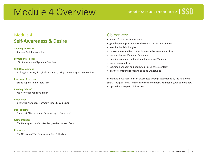# Module 4 Overview

## Module 4 **Self-Awareness & Desire**

#### **Theological Focus:**

Knowing Self, Knowing God

#### **Formational Focus:**

18th Annotation of Ignatian Exercises

#### **Skill Development:**

Probing for desire, liturgical awareness, using the Enneagram in direction

#### **Practices / Exercises:**

Group supervision; others TBD

#### **Reading Debrief:**

You Are What You Love, Smith

#### **Video Clip:**

Instinctual Variants / Harmony Triads (David Nixon)

#### **Sue Pickering:**

Chapter 4: "Listening and Responding to Ourselves"

#### **Going Deeper:**

The Enneagram: A Christian Perspective, Richard Rohr

#### **Resource:**

The Wisdom of The Enneagram, Riso & Hudson

### Objectives:

- harvest fruit of 18th Annotation
- gain deeper appreciation for the role of desire in formation
- examine implicit liturgies
- choose a new and (very) simple personal or communal liturgy
- learn Instinctual Variants / Subtypes
- examine dominant and neglected Instinctual Variants
- learn Harmony Triads
- examine dominant and neglected "intelligence centers"
- learn to contour direction to specific Enneatypes

In Module 4, we focus on self-awareness through attention to 1) the role of desire; 2) liturgies; and 3) nuances of the Enneagram. Additionally, we explore how to apply these in spiritual direction.